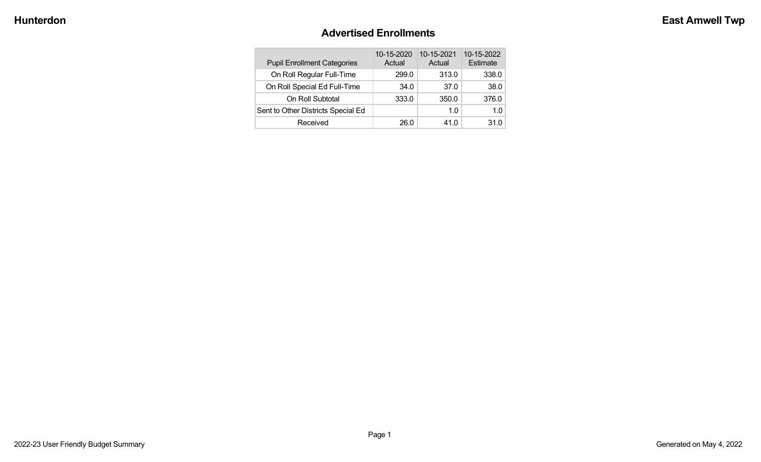#### **Advertised Enrollments**

| <b>Pupil Enrollment Categories</b> | 10-15-2020<br>Actual | 10-15-2021<br>Actual | 10-15-2022<br>Estimate |
|------------------------------------|----------------------|----------------------|------------------------|
| On Roll Regular Full-Time          | 299.0                | 313.0                | 338.0                  |
| On Roll Special Ed Full-Time       | 34.0                 | 37.0                 | 38.0                   |
| On Roll Subtotal                   | 333.0                | 350.0                | 376.0                  |
| Sent to Other Districts Special Ed |                      | 1.0                  | 1 በ                    |
| Received                           | 26.0                 | 41.0                 | 31.0                   |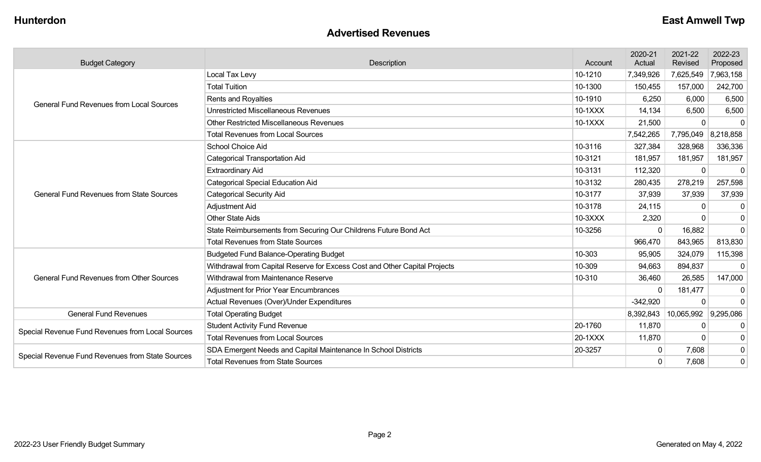#### **Advertised Revenues**

| <b>Budget Category</b>                           | <b>Description</b>                                                         |           | 2020-21<br>Actual | 2021-22<br>Revised   | 2022-23<br>Proposed |
|--------------------------------------------------|----------------------------------------------------------------------------|-----------|-------------------|----------------------|---------------------|
|                                                  | Local Tax Levy                                                             | 10-1210   | 7,349,926         | 7,625,549            | 7,963,158           |
| <b>General Fund Revenues from Local Sources</b>  | <b>Total Tuition</b>                                                       | 10-1300   | 150,455           | 157,000              | 242,700             |
|                                                  | Rents and Royalties                                                        | 10-1910   | 6,250             | 6,000                | 6,500               |
|                                                  | <b>Unrestricted Miscellaneous Revenues</b>                                 | 10-1XXX   | 14,134            | 6,500                | 6,500               |
|                                                  | <b>Other Restricted Miscellaneous Revenues</b>                             | $10-1XXX$ | 21,500            | $\Omega$             | $\mathbf 0$         |
|                                                  | <b>Total Revenues from Local Sources</b>                                   |           | 7,542,265         | 7,795,049            | 8,218,858           |
|                                                  | <b>School Choice Aid</b>                                                   | 10-3116   | 327,384           | 328,968              | 336,336             |
|                                                  | <b>Categorical Transportation Aid</b>                                      | 10-3121   | 181,957           | 181,957              | 181,957             |
|                                                  | <b>Extraordinary Aid</b>                                                   | 10-3131   | 112,320           | $\overline{0}$       | $\mathbf 0$         |
|                                                  | <b>Categorical Special Education Aid</b>                                   | 10-3132   | 280,435           | 278,219              | 257,598             |
| <b>General Fund Revenues from State Sources</b>  | <b>Categorical Security Aid</b>                                            | 10-3177   | 37,939            | 37,939               | 37,939              |
|                                                  | <b>Adjustment Aid</b>                                                      | 10-3178   | 24,115            | $\Omega$             | $\Omega$            |
|                                                  | <b>Other State Aids</b>                                                    | 10-3XXX   | 2,320             | $\mathbf 0$          | $\mathbf 0$         |
|                                                  | State Reimbursements from Securing Our Childrens Future Bond Act           | 10-3256   | $\Omega$          | 16,882               | $\mathbf 0$         |
|                                                  | <b>Total Revenues from State Sources</b>                                   |           | 966,470           | 843,965              | 813,830             |
|                                                  | <b>Budgeted Fund Balance-Operating Budget</b>                              | 10-303    | 95,905            | 324,079              | 115,398             |
|                                                  | Withdrawal from Capital Reserve for Excess Cost and Other Capital Projects | 10-309    | 94,663            | 894,837              | $\Omega$            |
| <b>General Fund Revenues from Other Sources</b>  | Withdrawal from Maintenance Reserve                                        | 10-310    | 36,460            | 26,585               | 147,000             |
|                                                  | <b>Adjustment for Prior Year Encumbrances</b>                              |           | $\Omega$          | 181,477              | 0                   |
|                                                  | Actual Revenues (Over)/Under Expenditures                                  |           | $-342,920$        | $\Omega$             | $\mathbf 0$         |
| <b>General Fund Revenues</b>                     | <b>Total Operating Budget</b>                                              |           | 8,392,843         | 10,065,992 9,295,086 |                     |
| Special Revenue Fund Revenues from Local Sources | <b>Student Activity Fund Revenue</b>                                       | 20-1760   | 11,870            | 0                    | 0                   |
|                                                  | <b>Total Revenues from Local Sources</b>                                   | 20-1XXX   | 11,870            | $\Omega$             | $\mathbf 0$         |
|                                                  | SDA Emergent Needs and Capital Maintenance In School Districts             | 20-3257   | $\mathbf{0}$      | 7,608                | $\mathbf 0$         |
| Special Revenue Fund Revenues from State Sources | <b>Total Revenues from State Sources</b>                                   |           | $\Omega$          | 7,608                | 0                   |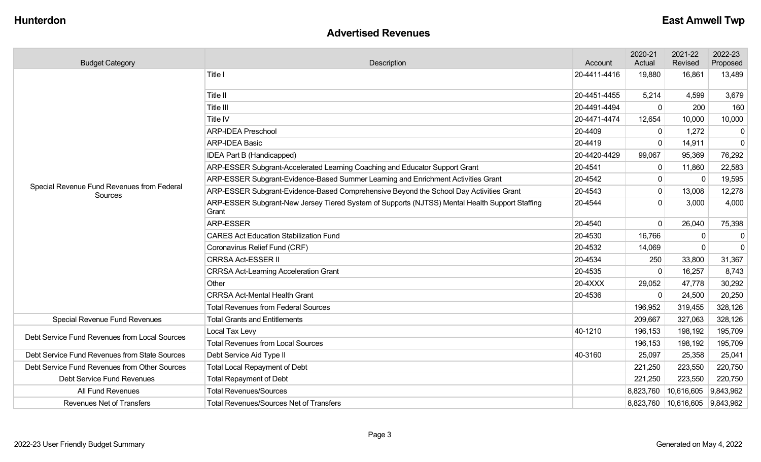### **Advertised Revenues**

| <b>Budget Category</b>                                | <b>Description</b>                                                                                      | Account      | 2020-21<br>Actual | 2021-22<br>Revised                 | 2022-23<br>Proposed |
|-------------------------------------------------------|---------------------------------------------------------------------------------------------------------|--------------|-------------------|------------------------------------|---------------------|
|                                                       | Title I                                                                                                 | 20-4411-4416 | 19,880            | 16,861                             | 13,489              |
|                                                       | Title II                                                                                                | 20-4451-4455 | 5,214             | 4,599                              | 3,679               |
|                                                       | Title III                                                                                               | 20-4491-4494 | $\Omega$          | 200                                | 160                 |
|                                                       | Title IV                                                                                                | 20-4471-4474 | 12,654            | 10,000                             | 10,000              |
|                                                       | <b>ARP-IDEA Preschool</b>                                                                               | 20-4409      | $\mathbf{0}$      | 1,272                              | 0                   |
|                                                       | <b>ARP-IDEA Basic</b>                                                                                   | 20-4419      | $\Omega$          | 14,911                             | $\overline{0}$      |
|                                                       | IDEA Part B (Handicapped)                                                                               | 20-4420-4429 | 99,067            | 95,369                             | 76,292              |
|                                                       | ARP-ESSER Subgrant-Accelerated Learning Coaching and Educator Support Grant                             | 20-4541      | $\Omega$          | 11,860                             | 22,583              |
|                                                       | ARP-ESSER Subgrant-Evidence-Based Summer Learning and Enrichment Activities Grant                       | 20-4542      | $\mathbf 0$       | $\mathbf 0$                        | 19,595              |
| Special Revenue Fund Revenues from Federal<br>Sources | ARP-ESSER Subgrant-Evidence-Based Comprehensive Beyond the School Day Activities Grant                  | 20-4543      | $\mathbf{0}$      | 13,008                             | 12,278              |
|                                                       | ARP-ESSER Subgrant-New Jersey Tiered System of Supports (NJTSS) Mental Health Support Staffing<br>Grant | 20-4544      | $\Omega$          | 3,000                              | 4,000               |
|                                                       | <b>ARP-ESSER</b>                                                                                        | 20-4540      | $\Omega$          | 26,040                             | 75,398              |
|                                                       | <b>CARES Act Education Stabilization Fund</b>                                                           | 20-4530      | 16,766            | $\mathbf{0}$                       | $\mathbf 0$         |
|                                                       | Coronavirus Relief Fund (CRF)                                                                           | 20-4532      | 14,069            | $\mathbf{0}$                       | $\overline{0}$      |
|                                                       | <b>CRRSA Act-ESSER II</b>                                                                               | 20-4534      | 250               | 33,800                             | 31,367              |
|                                                       | <b>CRRSA Act-Learning Acceleration Grant</b>                                                            | 20-4535      |                   | 16,257                             | 8,743               |
|                                                       | Other                                                                                                   | 20-4XXX      | 29,052            | 47,778                             | 30,292              |
|                                                       | <b>CRRSA Act-Mental Health Grant</b>                                                                    | 20-4536      |                   | 24,500                             | 20,250              |
|                                                       | <b>Total Revenues from Federal Sources</b>                                                              |              | 196,952           | 319,455                            | 328,126             |
| Special Revenue Fund Revenues                         | <b>Total Grants and Entitlements</b>                                                                    |              | 209,667           | 327,063                            | 328,126             |
| Debt Service Fund Revenues from Local Sources         | Local Tax Levy                                                                                          | 40-1210      | 196,153           | 198,192                            | 195,709             |
|                                                       | <b>Total Revenues from Local Sources</b>                                                                |              | 196,153           | 198,192                            | 195,709             |
| Debt Service Fund Revenues from State Sources         | Debt Service Aid Type II                                                                                | 40-3160      | 25,097            | 25,358                             | 25,041              |
| Debt Service Fund Revenues from Other Sources         | <b>Total Local Repayment of Debt</b>                                                                    |              | 221,250           | 223,550                            | 220,750             |
| Debt Service Fund Revenues                            | <b>Total Repayment of Debt</b>                                                                          |              | 221,250           | 223,550                            | 220,750             |
| All Fund Revenues                                     | <b>Total Revenues/Sources</b>                                                                           |              | 8,823,760         | 10,616,605 9,843,962               |                     |
| <b>Revenues Net of Transfers</b>                      | <b>Total Revenues/Sources Net of Transfers</b>                                                          |              |                   | 8,823,760   10,616,605   9,843,962 |                     |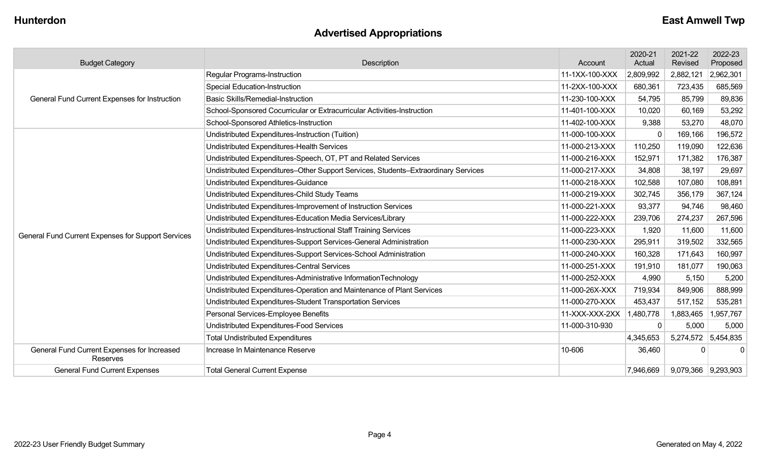## **Advertised Appropriations**

| <b>Budget Category</b>                                  | Description                                                                        | Account        | 2020-21<br>Actual | 2021-22<br>Revised  | 2022-23<br>Proposed |
|---------------------------------------------------------|------------------------------------------------------------------------------------|----------------|-------------------|---------------------|---------------------|
|                                                         | Regular Programs-Instruction                                                       | 11-1XX-100-XXX | 2,809,992         | 2,882,121           | 2,962,301           |
|                                                         | <b>Special Education-Instruction</b>                                               | 11-2XX-100-XXX | 680,361           | 723,435             | 685,569             |
| General Fund Current Expenses for Instruction           | <b>Basic Skills/Remedial-Instruction</b>                                           | 11-230-100-XXX | 54,795            | 85,799              | 89,836              |
|                                                         | School-Sponsored Cocurricular or Extracurricular Activities-Instruction            | 11-401-100-XXX | 10,020            | 60,169              | 53,292              |
|                                                         | School-Sponsored Athletics-Instruction                                             | 11-402-100-XXX | 9,388             | 53,270              | 48,070              |
|                                                         | Undistributed Expenditures-Instruction (Tuition)                                   | 11-000-100-XXX | $\mathbf{0}$      | 169,166             | 196,572             |
|                                                         | Undistributed Expenditures-Health Services                                         | 11-000-213-XXX | 110,250           | 119,090             | 122,636             |
|                                                         | Undistributed Expenditures-Speech, OT, PT and Related Services                     | 11-000-216-XXX | 152,971           | 171,382             | 176,387             |
|                                                         | Undistributed Expenditures-Other Support Services, Students-Extraordinary Services | 11-000-217-XXX | 34,808            | 38,197              | 29,697              |
|                                                         | Undistributed Expenditures-Guidance                                                | 11-000-218-XXX | 102,588           | 107,080             | 108,891             |
|                                                         | Undistributed Expenditures-Child Study Teams                                       | 11-000-219-XXX | 302,745           | 356,179             | 367,124             |
|                                                         | Undistributed Expenditures-Improvement of Instruction Services                     | 11-000-221-XXX | 93,377            | 94,746              | 98,460              |
|                                                         | Undistributed Expenditures-Education Media Services/Library                        | 11-000-222-XXX | 239,706           | 274,237             | 267,596             |
| General Fund Current Expenses for Support Services      | Undistributed Expenditures-Instructional Staff Training Services                   | 11-000-223-XXX | 1,920             | 11,600              | 11,600              |
|                                                         | Undistributed Expenditures-Support Services-General Administration                 | 11-000-230-XXX | 295,911           | 319,502             | 332,565             |
|                                                         | Undistributed Expenditures-Support Services-School Administration                  | 11-000-240-XXX | 160,328           | 171,643             | 160,997             |
|                                                         | <b>Undistributed Expenditures-Central Services</b>                                 | 11-000-251-XXX | 191,910           | 181,077             | 190,063             |
|                                                         | Undistributed Expenditures-Administrative InformationTechnology                    | 11-000-252-XXX | 4,990             | 5,150               | 5,200               |
|                                                         | Undistributed Expenditures-Operation and Maintenance of Plant Services             | 11-000-26X-XXX | 719,934           | 849,906             | 888,999             |
|                                                         | Undistributed Expenditures-Student Transportation Services                         | 11-000-270-XXX | 453,437           | 517,152             | 535,281             |
|                                                         | Personal Services-Employee Benefits                                                | 11-XXX-XXX-2XX | 1,480,778         | 1,883,465           | 1,957,767           |
|                                                         | Undistributed Expenditures-Food Services                                           | 11-000-310-930 | <sup>0</sup>      | 5,000               | 5,000               |
|                                                         | <b>Total Undistributed Expenditures</b>                                            |                | 4,345,653         |                     | 5,274,572 5,454,835 |
| General Fund Current Expenses for Increased<br>Reserves | Increase In Maintenance Reserve                                                    | 10-606         | 36,460            | $\Omega$            | $\Omega$            |
| <b>General Fund Current Expenses</b>                    | <b>Total General Current Expense</b>                                               |                | 7,946,669         | 9,079,366 9,293,903 |                     |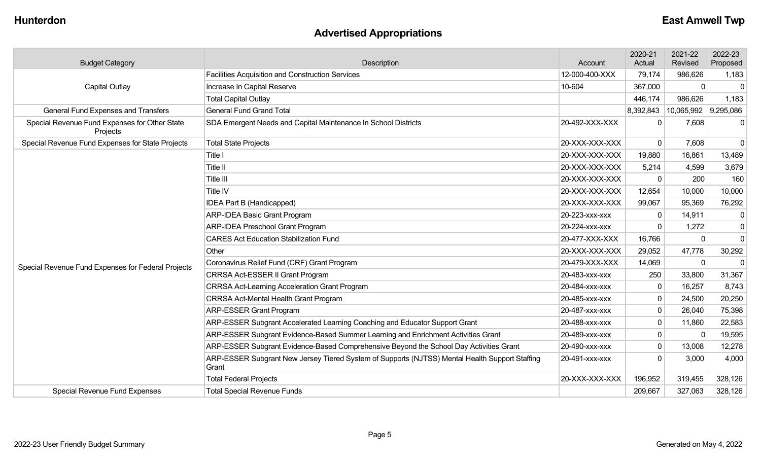## **Advertised Appropriations**

| <b>Budget Category</b>                                    | Description                                                                                             |                | 2020-21<br>Actual | 2021-22<br>Revised   | 2022-23<br>Proposed |
|-----------------------------------------------------------|---------------------------------------------------------------------------------------------------------|----------------|-------------------|----------------------|---------------------|
|                                                           | Facilities Acquisition and Construction Services                                                        | 12-000-400-XXX | 79,174            | 986,626              | 1,183               |
| Capital Outlay                                            | Increase In Capital Reserve                                                                             | 10-604         | 367,000           | $\mathbf 0$          | $\Omega$            |
|                                                           | <b>Total Capital Outlay</b>                                                                             |                | 446,174           | 986,626              | 1,183               |
| <b>General Fund Expenses and Transfers</b>                | <b>General Fund Grand Total</b>                                                                         |                | 8,392,843         | 10,065,992 9,295,086 |                     |
| Special Revenue Fund Expenses for Other State<br>Projects | SDA Emergent Needs and Capital Maintenance In School Districts                                          | 20-492-XXX-XXX | $\Omega$          | 7,608                | 0                   |
| Special Revenue Fund Expenses for State Projects          | <b>Total State Projects</b>                                                                             | 20-XXX-XXX-XXX | $\mathbf{0}$      | 7,608                | $\mathbf 0$         |
|                                                           | Title I                                                                                                 | 20-XXX-XXX-XXX | 19,880            | 16,861               | 13,489              |
|                                                           | Title II                                                                                                | 20-XXX-XXX-XXX | 5,214             | 4,599                | 3,679               |
|                                                           | Title III                                                                                               | 20-XXX-XXX-XXX | $\mathbf{0}$      | 200                  | 160                 |
|                                                           | Title IV                                                                                                | 20-XXX-XXX-XXX | 12,654            | 10,000               | 10,000              |
|                                                           | IDEA Part B (Handicapped)                                                                               | 20-XXX-XXX-XXX | 99,067            | 95,369               | 76,292              |
|                                                           | <b>ARP-IDEA Basic Grant Program</b>                                                                     | 20-223-xxx-xxx | 0                 | 14,911               | 0                   |
|                                                           | ARP-IDEA Preschool Grant Program                                                                        | 20-224-xxx-xxx | $\Omega$          | 1,272                | $\mathbf 0$         |
|                                                           | <b>CARES Act Education Stabilization Fund</b>                                                           | 20-477-XXX-XXX | 16,766            | $\mathbf 0$          | $\mathbf{0}$        |
|                                                           | Other                                                                                                   | 20-XXX-XXX-XXX | 29,052            | 47,778               | 30,292              |
| Special Revenue Fund Expenses for Federal Projects        | Coronavirus Relief Fund (CRF) Grant Program                                                             | 20-479-XXX-XXX | 14,069            | $\mathbf 0$          | $\Omega$            |
|                                                           | CRRSA Act-ESSER II Grant Program                                                                        | 20-483-xxx-xxx | 250               | 33,800               | 31,367              |
|                                                           | <b>CRRSA Act-Learning Acceleration Grant Program</b>                                                    | 20-484-XXX-XXX | $\mathbf{0}$      | 16,257               | 8,743               |
|                                                           | <b>CRRSA Act-Mental Health Grant Program</b>                                                            | 20-485-xxx-xxx | $\mathbf 0$       | 24,500               | 20,250              |
|                                                           | <b>ARP-ESSER Grant Program</b>                                                                          | 20-487-xxx-xxx | $\mathbf{0}$      | 26,040               | 75,398              |
|                                                           | ARP-ESSER Subgrant Accelerated Learning Coaching and Educator Support Grant                             | 20-488-XXX-XXX | $\mathbf{0}$      | 11,860               | 22,583              |
|                                                           | ARP-ESSER Subgrant Evidence-Based Summer Learning and Enrichment Activities Grant                       | 20-489-xxx-xxx | 0                 | $\mathbf 0$          | 19,595              |
|                                                           | ARP-ESSER Subgrant Evidence-Based Comprehensive Beyond the School Day Activities Grant                  | 20-490-xxx-xxx | 0                 | 13,008               | 12,278              |
|                                                           | ARP-ESSER Subgrant New Jersey Tiered System of Supports (NJTSS) Mental Health Support Staffing<br>Grant | 20-491-xxx-xxx | $\Omega$          | 3,000                | 4,000               |
|                                                           | <b>Total Federal Projects</b>                                                                           | 20-XXX-XXX-XXX | 196,952           | 319,455              | 328,126             |
| <b>Special Revenue Fund Expenses</b>                      | <b>Total Special Revenue Funds</b>                                                                      |                | 209,667           | 327,063              | 328,126             |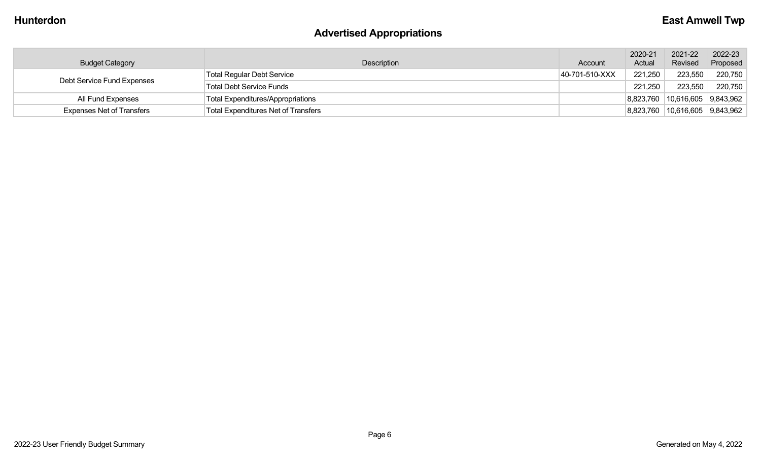# **Advertised Appropriations**

| <b>Budget Category</b>           | Description                                | Account        | 2020-21<br>Actual | 2021-22<br>Revised     | 2022-23<br>Proposed |
|----------------------------------|--------------------------------------------|----------------|-------------------|------------------------|---------------------|
| Debt Service Fund Expenses       | <b>Total Regular Debt Service</b>          | 40-701-510-XXX | 221,250           | 223,550                | 220,750             |
|                                  | <b>Total Debt Service Funds</b>            |                | 221,250           | 223,550                | 220,750             |
| All Fund Expenses                | <b>Total Expenditures/Appropriations</b>   |                | 8,823,760         | $10,616,605$ 9,843,962 |                     |
| <b>Expenses Net of Transfers</b> | <b>Total Expenditures Net of Transfers</b> |                | 8,823,760         | $10,616,605$ 9,843,962 |                     |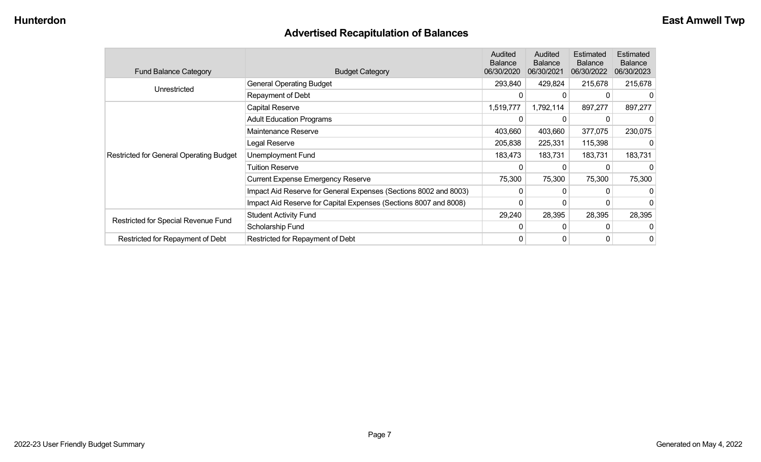## **Advertised Recapitulation of Balances**

| <b>Fund Balance Category</b>                   | <b>Budget Category</b>                                           | Audited<br><b>Balance</b><br>06/30/2020 | Audited<br><b>Balance</b><br>06/30/2021 | Estimated<br><b>Balance</b><br>06/30/2022 | Estimated<br><b>Balance</b><br>06/30/2023 |
|------------------------------------------------|------------------------------------------------------------------|-----------------------------------------|-----------------------------------------|-------------------------------------------|-------------------------------------------|
| Unrestricted                                   | <b>General Operating Budget</b>                                  | 293,840                                 | 429,824                                 | 215,678                                   | 215,678                                   |
|                                                | Repayment of Debt                                                | 0                                       |                                         |                                           | 0                                         |
|                                                | Capital Reserve                                                  | 1,519,777                               | 1,792,114                               | 897,277                                   | 897,277                                   |
|                                                | <b>Adult Education Programs</b>                                  |                                         |                                         |                                           | 0                                         |
|                                                | Maintenance Reserve                                              | 403,660                                 | 403,660                                 | 377,075                                   | 230,075                                   |
|                                                | Legal Reserve                                                    | 205,838                                 | 225,331                                 | 115,398                                   | $\Omega$                                  |
| <b>Restricted for General Operating Budget</b> | Unemployment Fund                                                | 183,473                                 | 183,731                                 | 183,731                                   | 183,731                                   |
|                                                | Tuition Reserve                                                  |                                         |                                         |                                           | 0                                         |
|                                                | <b>Current Expense Emergency Reserve</b>                         | 75,300                                  | 75,300                                  | 75,300                                    | 75,300                                    |
|                                                | Impact Aid Reserve for General Expenses (Sections 8002 and 8003) | 0                                       |                                         |                                           |                                           |
|                                                | Impact Aid Reserve for Capital Expenses (Sections 8007 and 8008) |                                         |                                         |                                           | 0                                         |
| Restricted for Special Revenue Fund            | <b>Student Activity Fund</b>                                     | 29,240                                  | 28,395                                  | 28,395                                    | 28,395                                    |
|                                                | Scholarship Fund                                                 |                                         |                                         |                                           | $\Omega$                                  |
| Restricted for Repayment of Debt               | Restricted for Repayment of Debt                                 | 0                                       |                                         |                                           | 0                                         |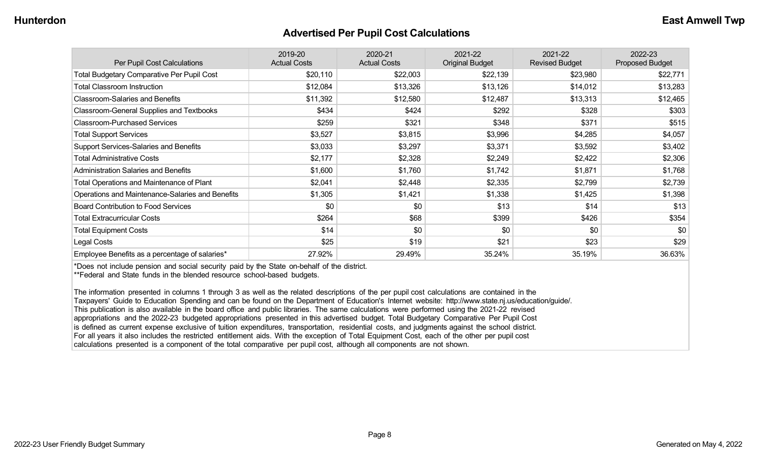#### **Advertised Per Pupil Cost Calculations**

| Per Pupil Cost Calculations                       | 2019-20<br><b>Actual Costs</b> | 2020-21<br><b>Actual Costs</b> | 2021-22<br><b>Original Budget</b> | 2021-22<br><b>Revised Budget</b> | 2022-23<br><b>Proposed Budget</b> |
|---------------------------------------------------|--------------------------------|--------------------------------|-----------------------------------|----------------------------------|-----------------------------------|
| <b>Total Budgetary Comparative Per Pupil Cost</b> | \$20,110                       | \$22,003                       | \$22,139                          | \$23,980                         | \$22,771                          |
| <b>Total Classroom Instruction</b>                | \$12,084                       | \$13,326                       | \$13,126                          | \$14,012                         | \$13,283                          |
| <b>Classroom-Salaries and Benefits</b>            | \$11,392                       | \$12,580                       | \$12,487                          | \$13,313                         | \$12,465                          |
| Classroom-General Supplies and Textbooks          | \$434                          | \$424                          | \$292                             | \$328                            | \$303                             |
| <b>Classroom-Purchased Services</b>               | \$259                          | \$321                          | \$348                             | \$371                            | \$515                             |
| <b>Total Support Services</b>                     | \$3,527                        | \$3,815                        | \$3,996                           | \$4,285                          | \$4,057                           |
| Support Services-Salaries and Benefits            | \$3,033                        | \$3,297                        | \$3,371                           | \$3,592                          | \$3,402                           |
| <b>Total Administrative Costs</b>                 | \$2,177                        | \$2,328                        | \$2,249                           | \$2,422                          | \$2,306                           |
| <b>Administration Salaries and Benefits</b>       | \$1,600                        | \$1,760                        | \$1,742                           | \$1,871                          | \$1,768                           |
| Total Operations and Maintenance of Plant         | \$2,041                        | \$2,448                        | \$2,335                           | \$2,799                          | \$2,739                           |
| Operations and Maintenance-Salaries and Benefits  | \$1,305                        | \$1,421                        | \$1,338                           | \$1,425                          | \$1,398                           |
| <b>Board Contribution to Food Services</b>        | \$0                            | \$0                            | \$13                              | \$14                             | \$13                              |
| <b>Total Extracurricular Costs</b>                | \$264                          | \$68                           | \$399                             | \$426                            | \$354                             |
| <b>Total Equipment Costs</b>                      | \$14                           | \$0                            | \$0                               | \$0                              | \$0                               |
| Legal Costs                                       | \$25                           | \$19                           | \$21                              | \$23                             | \$29                              |
| Employee Benefits as a percentage of salaries*    | 27.92%                         | 29.49%                         | 35.24%                            | 35.19%                           | 36.63%                            |

\*Does not include pension and social security paid by the State on-behalf of the district.

\*\*Federal and State funds in the blended resource school-based budgets.

The information presented in columns 1 through 3 as well as the related descriptions of the per pupil cost calculations are contained in the Taxpayers' Guide to Education Spending and can be found on the Department of Education's Internet website: http://www.state.nj.us/education/guide/. This publication is also available in the board office and public libraries. The same calculations were performed using the 2021-22 revised appropriations and the 2022-23 budgeted appropriations presented in this advertised budget. Total Budgetary Comparative Per Pupil Cost is defined as current expense exclusive of tuition expenditures, transportation, residential costs, and judgments against the school district. For all years it also includes the restricted entitlement aids. With the exception of Total Equipment Cost, each of the other per pupil cost calculations presented is a component of the total comparative per pupil cost, although all components are not shown.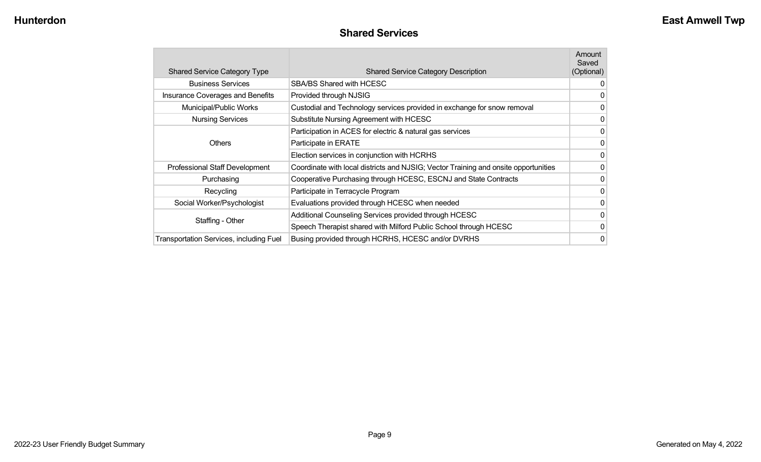#### **Shared Services**

| <b>Shared Service Category Type</b>            | <b>Shared Service Category Description</b>                                          | Amount<br>Saved<br>(Optional) |
|------------------------------------------------|-------------------------------------------------------------------------------------|-------------------------------|
| <b>Business Services</b>                       | <b>SBA/BS Shared with HCESC</b>                                                     | 0                             |
| Insurance Coverages and Benefits               | Provided through NJSIG                                                              | 0                             |
| Municipal/Public Works                         | Custodial and Technology services provided in exchange for snow removal             | 0                             |
| <b>Nursing Services</b>                        | Substitute Nursing Agreement with HCESC                                             | 0                             |
|                                                | Participation in ACES for electric & natural gas services                           | $\mathbf 0$                   |
| <b>Others</b>                                  | Participate in ERATE                                                                | 0                             |
|                                                | Election services in conjunction with HCRHS                                         | 0                             |
| Professional Staff Development                 | Coordinate with local districts and NJSIG; Vector Training and onsite opportunities | 0                             |
| Purchasing                                     | Cooperative Purchasing through HCESC, ESCNJ and State Contracts                     | 0                             |
| Recycling                                      | Participate in Terracycle Program                                                   | 0                             |
| Social Worker/Psychologist                     | Evaluations provided through HCESC when needed                                      | $\mathbf{0}$                  |
|                                                | Additional Counseling Services provided through HCESC                               | 0                             |
| Staffing - Other                               | Speech Therapist shared with Milford Public School through HCESC                    | 0                             |
| <b>Transportation Services, including Fuel</b> | Busing provided through HCRHS, HCESC and/or DVRHS                                   | 0                             |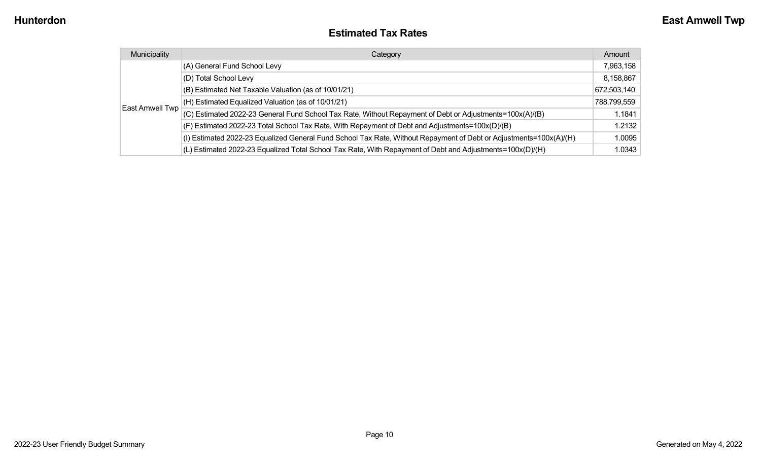#### **Estimated Tax Rates**

| Municipality    | Category                                                                                                           | Amount      |
|-----------------|--------------------------------------------------------------------------------------------------------------------|-------------|
|                 | (A) General Fund School Levy                                                                                       | 7,963,158   |
|                 | (D) Total School Levy                                                                                              | 8,158,867   |
|                 | (B) Estimated Net Taxable Valuation (as of 10/01/21)                                                               | 672,503,140 |
|                 | (H) Estimated Equalized Valuation (as of 10/01/21)                                                                 | 788,799,559 |
| East Amwell Twp | (C) Estimated 2022-23 General Fund School Tax Rate, Without Repayment of Debt or Adjustments=100x(A)/(B)           | 1.1841      |
|                 | (F) Estimated 2022-23 Total School Tax Rate, With Repayment of Debt and Adjustments=100x(D)/(B)                    | 1.2132      |
|                 | (I) Estimated 2022-23 Equalized General Fund School Tax Rate, Without Repayment of Debt or Adjustments=100x(A)/(H) | 1.0095      |
|                 | (L) Estimated 2022-23 Equalized Total School Tax Rate, With Repayment of Debt and Adjustments=100x(D)/(H)          | 1.0343      |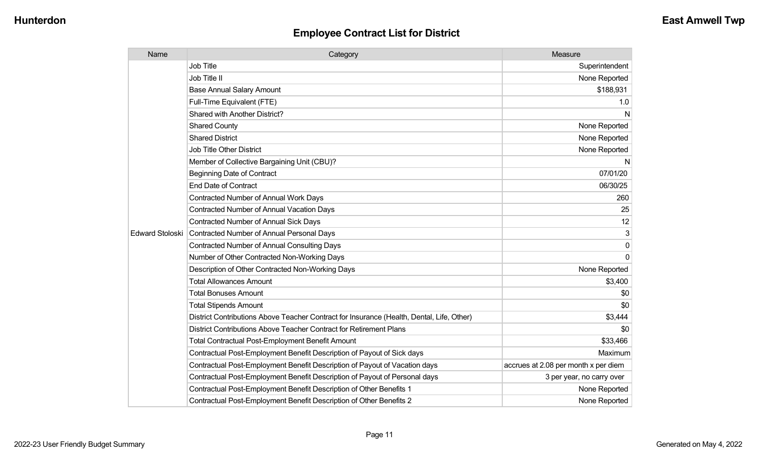| Name                   | Category                                                                                  | Measure                              |
|------------------------|-------------------------------------------------------------------------------------------|--------------------------------------|
|                        | Job Title                                                                                 | Superintendent                       |
|                        | Job Title II                                                                              | None Reported                        |
|                        | <b>Base Annual Salary Amount</b>                                                          | \$188,931                            |
|                        | Full-Time Equivalent (FTE)                                                                | 1.0                                  |
|                        | Shared with Another District?                                                             | N                                    |
|                        | <b>Shared County</b>                                                                      | None Reported                        |
|                        | <b>Shared District</b>                                                                    | None Reported                        |
|                        | <b>Job Title Other District</b>                                                           | None Reported                        |
|                        | Member of Collective Bargaining Unit (CBU)?                                               | N                                    |
|                        | <b>Beginning Date of Contract</b>                                                         | 07/01/20                             |
|                        | <b>End Date of Contract</b>                                                               | 06/30/25                             |
|                        | Contracted Number of Annual Work Days                                                     | 260                                  |
|                        | <b>Contracted Number of Annual Vacation Days</b>                                          | 25                                   |
|                        | <b>Contracted Number of Annual Sick Days</b>                                              | 12                                   |
| <b>Edward Stoloski</b> | Contracted Number of Annual Personal Days                                                 | 3                                    |
|                        | <b>Contracted Number of Annual Consulting Days</b>                                        | $\mathbf{0}$                         |
|                        | Number of Other Contracted Non-Working Days                                               | $\Omega$                             |
|                        | Description of Other Contracted Non-Working Days                                          | None Reported                        |
|                        | <b>Total Allowances Amount</b>                                                            | \$3,400                              |
|                        | <b>Total Bonuses Amount</b>                                                               | \$0                                  |
|                        | <b>Total Stipends Amount</b>                                                              | \$0                                  |
|                        | District Contributions Above Teacher Contract for Insurance (Health, Dental, Life, Other) | \$3,444                              |
|                        | District Contributions Above Teacher Contract for Retirement Plans                        | \$0                                  |
|                        | <b>Total Contractual Post-Employment Benefit Amount</b>                                   | \$33,466                             |
|                        | Contractual Post-Employment Benefit Description of Payout of Sick days                    | Maximum                              |
|                        | Contractual Post-Employment Benefit Description of Payout of Vacation days                | accrues at 2.08 per month x per diem |
|                        | Contractual Post-Employment Benefit Description of Payout of Personal days                | 3 per year, no carry over            |
|                        | Contractual Post-Employment Benefit Description of Other Benefits 1                       | None Reported                        |
|                        | Contractual Post-Employment Benefit Description of Other Benefits 2                       | None Reported                        |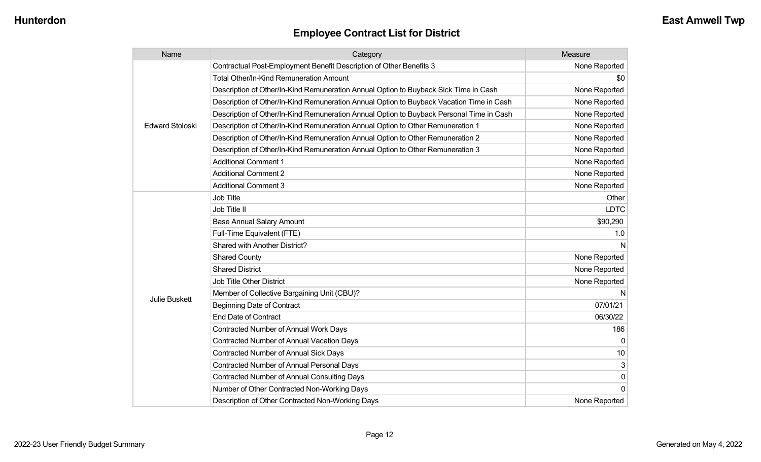| Name                   | Category                                                                                 | Measure       |
|------------------------|------------------------------------------------------------------------------------------|---------------|
|                        | Contractual Post-Employment Benefit Description of Other Benefits 3                      | None Reported |
| <b>Edward Stoloski</b> | <b>Total Other/In-Kind Remuneration Amount</b>                                           | \$0           |
|                        | Description of Other/In-Kind Remuneration Annual Option to Buyback Sick Time in Cash     | None Reported |
|                        | Description of Other/In-Kind Remuneration Annual Option to Buyback Vacation Time in Cash | None Reported |
|                        | Description of Other/In-Kind Remuneration Annual Option to Buyback Personal Time in Cash | None Reported |
|                        | Description of Other/In-Kind Remuneration Annual Option to Other Remuneration 1          | None Reported |
|                        | Description of Other/In-Kind Remuneration Annual Option to Other Remuneration 2          | None Reported |
|                        | Description of Other/In-Kind Remuneration Annual Option to Other Remuneration 3          | None Reported |
|                        | <b>Additional Comment 1</b>                                                              | None Reported |
|                        | <b>Additional Comment 2</b>                                                              | None Reported |
|                        | <b>Additional Comment 3</b>                                                              | None Reported |
|                        | <b>Job Title</b>                                                                         | Other         |
|                        | Job Title II                                                                             | <b>LDTC</b>   |
|                        | <b>Base Annual Salary Amount</b>                                                         | \$90,290      |
|                        | Full-Time Equivalent (FTE)                                                               | 1.0           |
|                        | Shared with Another District?                                                            | N             |
|                        | <b>Shared County</b>                                                                     | None Reported |
|                        | <b>Shared District</b>                                                                   | None Reported |
|                        | Job Title Other District                                                                 | None Reported |
|                        | Member of Collective Bargaining Unit (CBU)?                                              | N             |
| <b>Julie Buskett</b>   | <b>Beginning Date of Contract</b>                                                        | 07/01/21      |
|                        | <b>End Date of Contract</b>                                                              | 06/30/22      |
|                        | <b>Contracted Number of Annual Work Days</b>                                             | 186           |
|                        | <b>Contracted Number of Annual Vacation Days</b>                                         |               |
|                        | Contracted Number of Annual Sick Days                                                    | 10            |
|                        | <b>Contracted Number of Annual Personal Days</b>                                         | 3             |
|                        | <b>Contracted Number of Annual Consulting Days</b>                                       | 0             |
|                        | Number of Other Contracted Non-Working Days                                              | <sup>0</sup>  |
|                        | Description of Other Contracted Non-Working Days                                         | None Reported |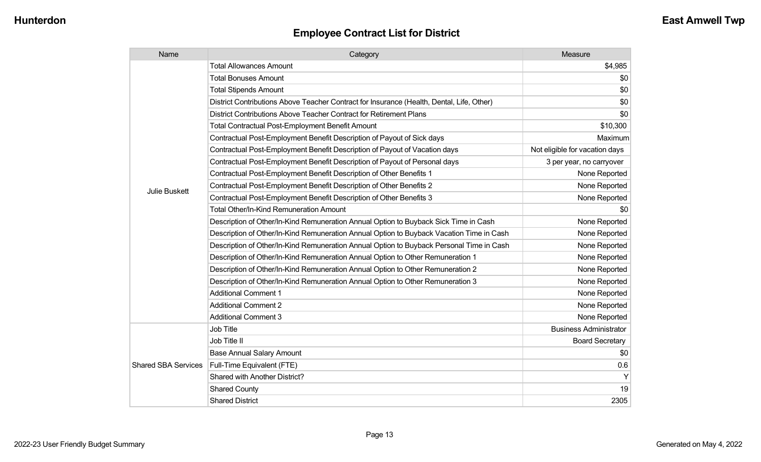| Name                       | Category                                                                                  | Measure                        |
|----------------------------|-------------------------------------------------------------------------------------------|--------------------------------|
|                            | <b>Total Allowances Amount</b>                                                            | \$4,985                        |
|                            | <b>Total Bonuses Amount</b>                                                               | \$0                            |
|                            | <b>Total Stipends Amount</b>                                                              | \$0                            |
|                            | District Contributions Above Teacher Contract for Insurance (Health, Dental, Life, Other) | \$0                            |
|                            | District Contributions Above Teacher Contract for Retirement Plans                        | \$0                            |
|                            | <b>Total Contractual Post-Employment Benefit Amount</b>                                   | \$10,300                       |
|                            | Contractual Post-Employment Benefit Description of Payout of Sick days                    | Maximum                        |
|                            | Contractual Post-Employment Benefit Description of Payout of Vacation days                | Not eligible for vacation days |
| <b>Julie Buskett</b>       | Contractual Post-Employment Benefit Description of Payout of Personal days                | 3 per year, no carryover       |
|                            | Contractual Post-Employment Benefit Description of Other Benefits 1                       | None Reported                  |
|                            | Contractual Post-Employment Benefit Description of Other Benefits 2                       | None Reported                  |
|                            | Contractual Post-Employment Benefit Description of Other Benefits 3                       | None Reported                  |
|                            | <b>Total Other/In-Kind Remuneration Amount</b>                                            | \$0                            |
|                            | Description of Other/In-Kind Remuneration Annual Option to Buyback Sick Time in Cash      | None Reported                  |
|                            | Description of Other/In-Kind Remuneration Annual Option to Buyback Vacation Time in Cash  | None Reported                  |
|                            | Description of Other/In-Kind Remuneration Annual Option to Buyback Personal Time in Cash  | None Reported                  |
|                            | Description of Other/In-Kind Remuneration Annual Option to Other Remuneration 1           | None Reported                  |
|                            | Description of Other/In-Kind Remuneration Annual Option to Other Remuneration 2           | None Reported                  |
|                            | Description of Other/In-Kind Remuneration Annual Option to Other Remuneration 3           | None Reported                  |
|                            | <b>Additional Comment 1</b>                                                               | None Reported                  |
|                            | <b>Additional Comment 2</b>                                                               | None Reported                  |
|                            | <b>Additional Comment 3</b>                                                               | None Reported                  |
|                            | Job Title                                                                                 | <b>Business Administrator</b>  |
|                            | Job Title II                                                                              | <b>Board Secretary</b>         |
|                            | <b>Base Annual Salary Amount</b>                                                          | \$0                            |
| <b>Shared SBA Services</b> | Full-Time Equivalent (FTE)                                                                | 0.6                            |
|                            | Shared with Another District?                                                             | Y                              |
|                            | <b>Shared County</b>                                                                      | 19                             |
|                            | <b>Shared District</b>                                                                    | 2305                           |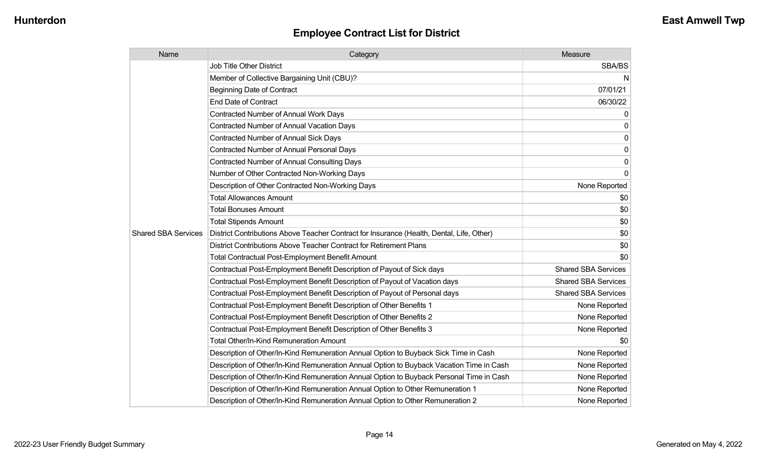| Name                       | Category                                                                                  | Measure                    |
|----------------------------|-------------------------------------------------------------------------------------------|----------------------------|
|                            | <b>Job Title Other District</b>                                                           | SBA/BS                     |
|                            | Member of Collective Bargaining Unit (CBU)?                                               | N                          |
|                            | <b>Beginning Date of Contract</b>                                                         | 07/01/21                   |
|                            | <b>End Date of Contract</b>                                                               | 06/30/22                   |
|                            | Contracted Number of Annual Work Days                                                     | 0                          |
|                            | Contracted Number of Annual Vacation Days                                                 | $\mathbf{0}$               |
|                            | <b>Contracted Number of Annual Sick Days</b>                                              | 0                          |
|                            | Contracted Number of Annual Personal Days                                                 | 0                          |
|                            | Contracted Number of Annual Consulting Days                                               | 0                          |
|                            | Number of Other Contracted Non-Working Days                                               | $\mathbf{0}$               |
|                            | Description of Other Contracted Non-Working Days                                          | None Reported              |
|                            | <b>Total Allowances Amount</b>                                                            | \$0                        |
|                            | <b>Total Bonuses Amount</b>                                                               | \$0                        |
|                            | <b>Total Stipends Amount</b>                                                              | \$0                        |
| <b>Shared SBA Services</b> | District Contributions Above Teacher Contract for Insurance (Health, Dental, Life, Other) | \$0                        |
|                            | District Contributions Above Teacher Contract for Retirement Plans                        | \$0                        |
|                            | <b>Total Contractual Post-Employment Benefit Amount</b>                                   | \$0                        |
|                            | Contractual Post-Employment Benefit Description of Payout of Sick days                    | <b>Shared SBA Services</b> |
|                            | Contractual Post-Employment Benefit Description of Payout of Vacation days                | <b>Shared SBA Services</b> |
|                            | Contractual Post-Employment Benefit Description of Payout of Personal days                | <b>Shared SBA Services</b> |
|                            | Contractual Post-Employment Benefit Description of Other Benefits 1                       | None Reported              |
|                            | Contractual Post-Employment Benefit Description of Other Benefits 2                       | None Reported              |
|                            | Contractual Post-Employment Benefit Description of Other Benefits 3                       | None Reported              |
|                            | <b>Total Other/In-Kind Remuneration Amount</b>                                            | \$0                        |
|                            | Description of Other/In-Kind Remuneration Annual Option to Buyback Sick Time in Cash      | None Reported              |
|                            | Description of Other/In-Kind Remuneration Annual Option to Buyback Vacation Time in Cash  | None Reported              |
|                            | Description of Other/In-Kind Remuneration Annual Option to Buyback Personal Time in Cash  | None Reported              |
|                            | Description of Other/In-Kind Remuneration Annual Option to Other Remuneration 1           | None Reported              |
|                            | Description of Other/In-Kind Remuneration Annual Option to Other Remuneration 2           | None Reported              |